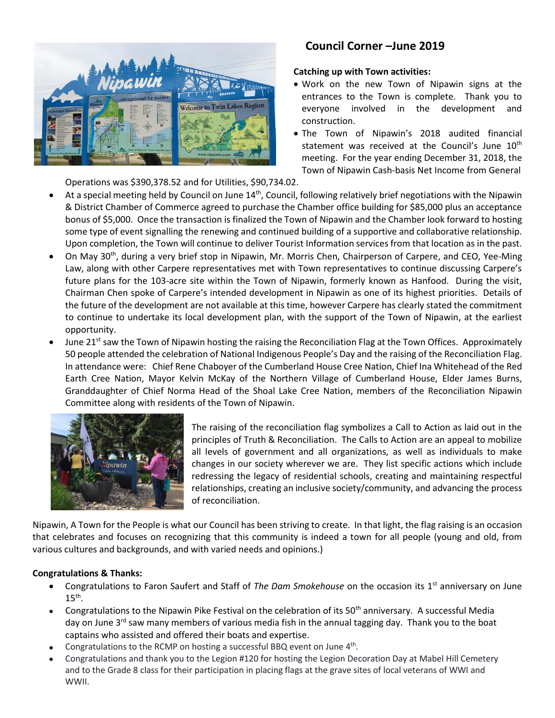

# **Council Corner –June 2019**

## **Catching up with Town activities:**

- Work on the new Town of Nipawin signs at the entrances to the Town is complete. Thank you to everyone involved in the development and construction.
- The Town of Nipawin's 2018 audited financial statement was received at the Council's June 10<sup>th</sup> meeting. For the year ending December 31, 2018, the Town of Nipawin Cash-basis Net Income from General

Operations was \$390,378.52 and for Utilities, \$90,734.02.

- At a special meeting held by Council on June 14<sup>th</sup>, Council, following relatively brief negotiations with the Nipawin & District Chamber of Commerce agreed to purchase the Chamber office building for \$85,000 plus an acceptance bonus of \$5,000. Once the transaction is finalized the Town of Nipawin and the Chamber look forward to hosting some type of event signalling the renewing and continued building of a supportive and collaborative relationship. Upon completion, the Town will continue to deliver Tourist Information services from that location as in the past.
- On May 30th, during a very brief stop in Nipawin, Mr. Morris Chen, Chairperson of Carpere, and CEO, Yee-Ming Law, along with other Carpere representatives met with Town representatives to continue discussing Carpere's future plans for the 103-acre site within the Town of Nipawin, formerly known as Hanfood. During the visit, Chairman Chen spoke of Carpere's intended development in Nipawin as one of its highest priorities. Details of the future of the development are not available at this time, however Carpere has clearly stated the commitment to continue to undertake its local development plan, with the support of the Town of Nipawin, at the earliest opportunity.
- June 21<sup>st</sup> saw the Town of Nipawin hosting the raising the Reconciliation Flag at the Town Offices. Approximately 50 people attended the celebration of National Indigenous People's Day and the raising of the Reconciliation Flag. In attendance were: Chief Rene Chaboyer of the Cumberland House Cree Nation, Chief Ina Whitehead of the Red Earth Cree Nation, Mayor Kelvin McKay of the Northern Village of Cumberland House, Elder James Burns, Granddaughter of Chief Norma Head of the Shoal Lake Cree Nation, members of the Reconciliation Nipawin Committee along with residents of the Town of Nipawin.



The raising of the reconciliation flag symbolizes a Call to Action as laid out in the principles of Truth & Reconciliation. The Calls to Action are an appeal to mobilize all levels of government and all organizations, as well as individuals to make changes in our society wherever we are. They list specific actions which include redressing the legacy of residential schools, creating and maintaining respectful relationships, creating an inclusive society/community, and advancing the process of reconciliation.

Nipawin, A Town for the People is what our Council has been striving to create. In that light, the flag raising is an occasion that celebrates and focuses on recognizing that this community is indeed a town for all people (young and old, from various cultures and backgrounds, and with varied needs and opinions.)

## **Congratulations & Thanks:**

- Congratulations to Faron Saufert and Staff of The Dam Smokehouse on the occasion its 1<sup>st</sup> anniversary on June  $15<sup>th</sup>$ .
- Congratulations to the Nipawin Pike Festival on the celebration of its  $50<sup>th</sup>$  anniversary. A successful Media day on June 3<sup>rd</sup> saw many members of various media fish in the annual tagging day. Thank you to the boat captains who assisted and offered their boats and expertise.
- Congratulations to the RCMP on hosting a successful BBQ event on June  $4<sup>th</sup>$ .
- Congratulations and thank you to the Legion #120 for hosting the Legion Decoration Day at Mabel Hill Cemetery and to the Grade 8 class for their participation in placing flags at the grave sites of local veterans of WWI and WWII.